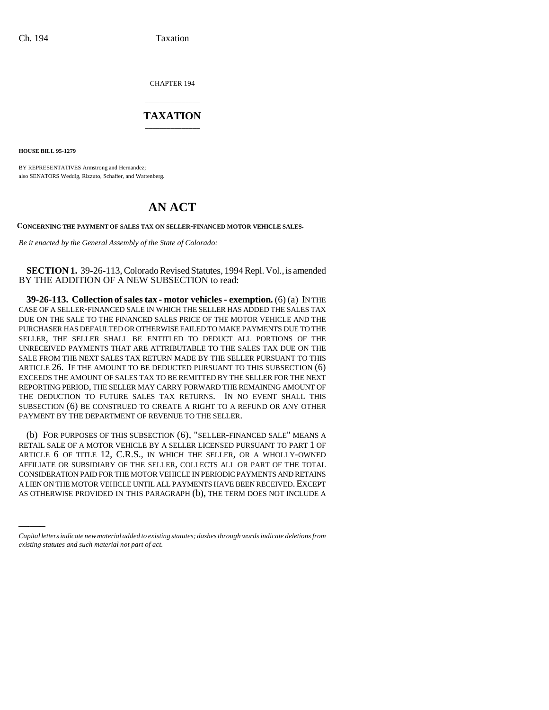CHAPTER 194

## \_\_\_\_\_\_\_\_\_\_\_\_\_\_\_ **TAXATION** \_\_\_\_\_\_\_\_\_\_\_\_\_\_\_

**HOUSE BILL 95-1279**

BY REPRESENTATIVES Armstrong and Hernandez; also SENATORS Weddig, Rizzuto, Schaffer, and Wattenberg.

## **AN ACT**

**CONCERNING THE PAYMENT OF SALES TAX ON SELLER-FINANCED MOTOR VEHICLE SALES.**

*Be it enacted by the General Assembly of the State of Colorado:*

**SECTION 1.** 39-26-113, Colorado Revised Statutes, 1994 Repl. Vol., is amended BY THE ADDITION OF A NEW SUBSECTION to read:

**39-26-113. Collection of sales tax - motor vehicles - exemption.** (6) (a) IN THE CASE OF A SELLER-FINANCED SALE IN WHICH THE SELLER HAS ADDED THE SALES TAX DUE ON THE SALE TO THE FINANCED SALES PRICE OF THE MOTOR VEHICLE AND THE PURCHASER HAS DEFAULTED OR OTHERWISE FAILED TO MAKE PAYMENTS DUE TO THE SELLER, THE SELLER SHALL BE ENTITLED TO DEDUCT ALL PORTIONS OF THE UNRECEIVED PAYMENTS THAT ARE ATTRIBUTABLE TO THE SALES TAX DUE ON THE SALE FROM THE NEXT SALES TAX RETURN MADE BY THE SELLER PURSUANT TO THIS ARTICLE 26. IF THE AMOUNT TO BE DEDUCTED PURSUANT TO THIS SUBSECTION (6) EXCEEDS THE AMOUNT OF SALES TAX TO BE REMITTED BY THE SELLER FOR THE NEXT REPORTING PERIOD, THE SELLER MAY CARRY FORWARD THE REMAINING AMOUNT OF THE DEDUCTION TO FUTURE SALES TAX RETURNS. IN NO EVENT SHALL THIS SUBSECTION (6) BE CONSTRUED TO CREATE A RIGHT TO A REFUND OR ANY OTHER PAYMENT BY THE DEPARTMENT OF REVENUE TO THE SELLER.

ARTICLE O OF TITLE T2, C.R.S., IN WHICH THE SELLER, OR A WHOLLY-OWNED<br>AFFILIATE OR SUBSIDIARY OF THE SELLER, COLLECTS ALL OR PART OF THE TOTAL (b) FOR PURPOSES OF THIS SUBSECTION (6), "SELLER-FINANCED SALE" MEANS A RETAIL SALE OF A MOTOR VEHICLE BY A SELLER LICENSED PURSUANT TO PART 1 OF ARTICLE 6 OF TITLE 12, C.R.S., IN WHICH THE SELLER, OR A WHOLLY-OWNED CONSIDERATION PAID FOR THE MOTOR VEHICLE IN PERIODIC PAYMENTS AND RETAINS A LIEN ON THE MOTOR VEHICLE UNTIL ALL PAYMENTS HAVE BEEN RECEIVED. EXCEPT AS OTHERWISE PROVIDED IN THIS PARAGRAPH (b), THE TERM DOES NOT INCLUDE A

*Capital letters indicate new material added to existing statutes; dashes through words indicate deletions from existing statutes and such material not part of act.*